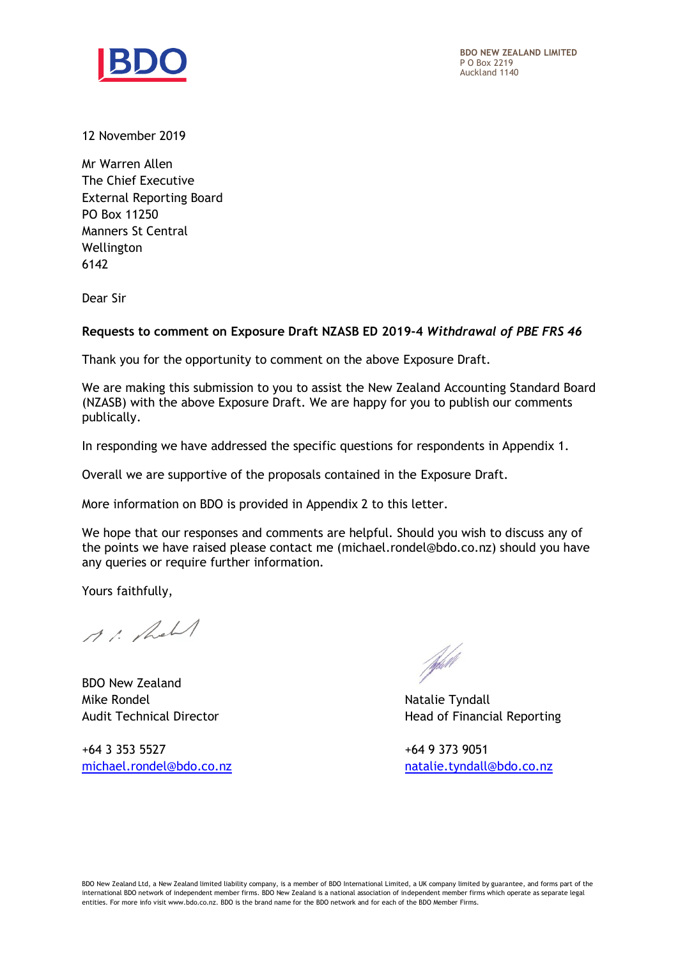

12 November 2019

Mr Warren Allen The Chief Executive External Reporting Board PO Box 11250 Manners St Central Wellington 6142

Dear Sir

## **Requests to comment on Exposure Draft NZASB ED 2019-4** *Withdrawal of PBE FRS 46*

Thank you for the opportunity to comment on the above Exposure Draft.

We are making this submission to you to assist the New Zealand Accounting Standard Board (NZASB) with the above Exposure Draft. We are happy for you to publish our comments publically.

In responding we have addressed the specific questions for respondents in Appendix 1.

Overall we are supportive of the proposals contained in the Exposure Draft.

More information on BDO is provided in Appendix 2 to this letter.

We hope that our responses and comments are helpful. Should you wish to discuss any of the points we have raised please contact me (michael.rondel@bdo.co.nz) should you have any queries or require further information.

Yours faithfully,

11. Roll

BDO New Zealand Mike Rondel Natalie Tyndall

+64 3 353 5527 +64 9 373 9051

fydell

Audit Technical Director **Head of Financial Reporting** 

[michael.rondel@bdo.co.nz](mailto:michael.rondel@bdo.co.nz) [natalie.tyndall@bdo.co.nz](mailto:natalie.tyndall@bdo.co.nz)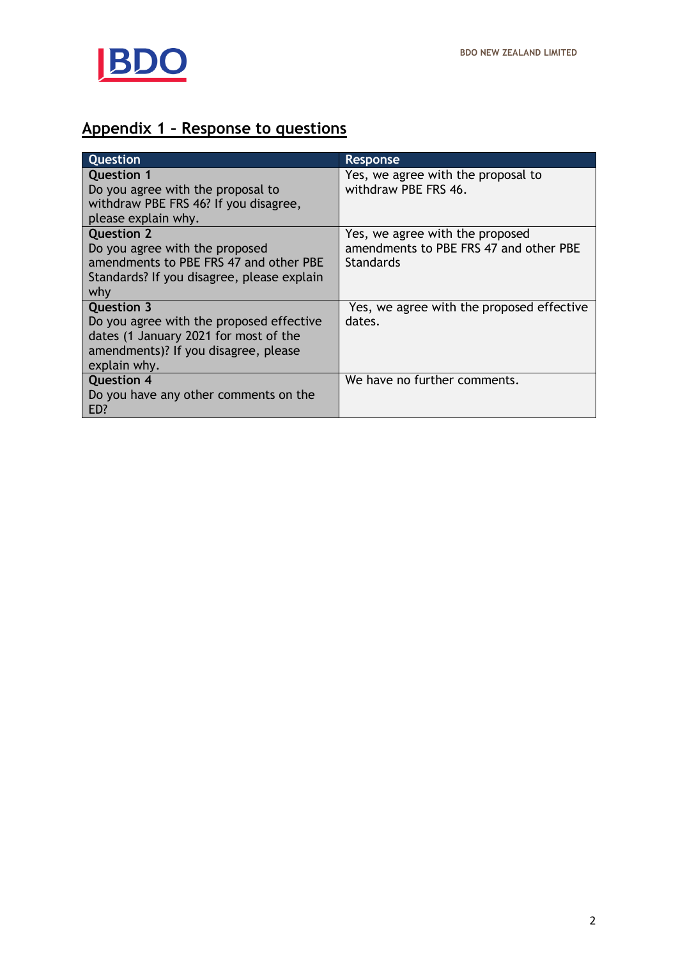

## **Appendix 1 – Response to questions**

| <b>Question</b>                                              | Response                                  |
|--------------------------------------------------------------|-------------------------------------------|
| <b>Question 1</b>                                            | Yes, we agree with the proposal to        |
| Do you agree with the proposal to                            | withdraw PBE FRS 46.                      |
| withdraw PBE FRS 46? If you disagree,<br>please explain why. |                                           |
| <b>Question 2</b>                                            | Yes, we agree with the proposed           |
| Do you agree with the proposed                               | amendments to PBE FRS 47 and other PBE    |
| amendments to PBE FRS 47 and other PBE                       | <b>Standards</b>                          |
| Standards? If you disagree, please explain                   |                                           |
| why                                                          |                                           |
| <b>Question 3</b>                                            | Yes, we agree with the proposed effective |
| Do you agree with the proposed effective                     | dates.                                    |
| dates (1 January 2021 for most of the                        |                                           |
| amendments)? If you disagree, please<br>explain why.         |                                           |
|                                                              |                                           |
| <b>Question 4</b>                                            | We have no further comments.              |
| Do you have any other comments on the                        |                                           |
| ED?                                                          |                                           |